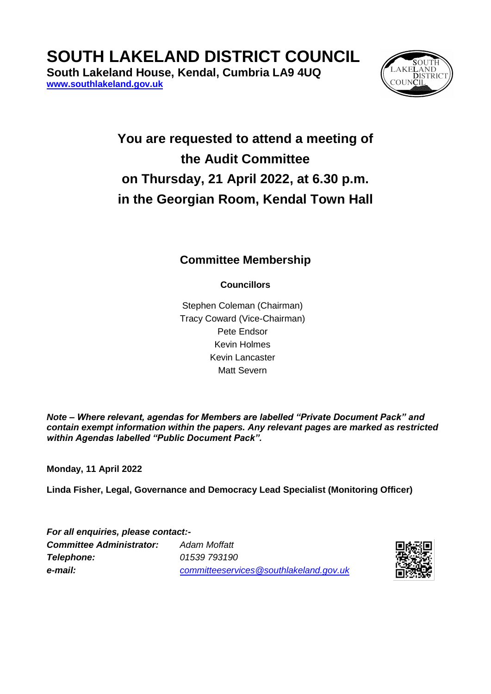## **SOUTH LAKELAND DISTRICT COUNCIL**

**South Lakeland House, Kendal, Cumbria LA9 4UQ [www.southlakeland.gov.uk](http://www.southlakeland.gov.uk/)**



## **You are requested to attend a meeting of the Audit Committee on Thursday, 21 April 2022, at 6.30 p.m. in the Georgian Room, Kendal Town Hall**

## **Committee Membership**

**Councillors**

Stephen Coleman (Chairman) Tracy Coward (Vice-Chairman) Pete Endsor Kevin Holmes Kevin Lancaster Matt Severn

*Note – Where relevant, agendas for Members are labelled "Private Document Pack" and contain exempt information within the papers. Any relevant pages are marked as restricted within Agendas labelled "Public Document Pack".*

**Monday, 11 April 2022**

**Linda Fisher, Legal, Governance and Democracy Lead Specialist (Monitoring Officer)**

*For all enquiries, please contact:- Committee Administrator: Adam Moffatt Telephone: 01539 793190 e-mail: committeeservices@southlakeland.gov.uk*

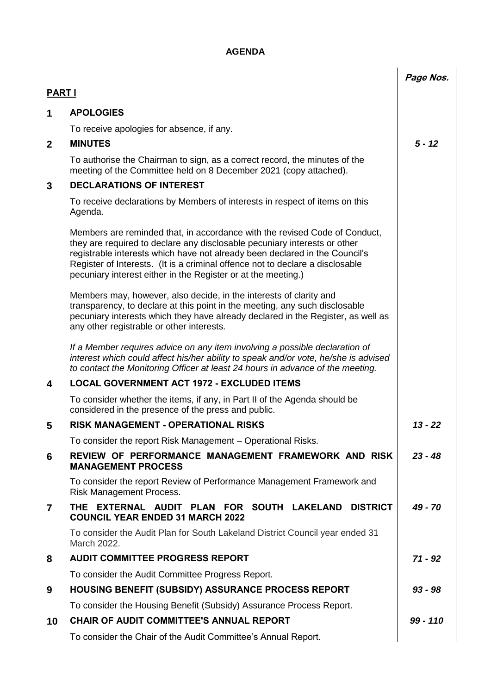## **AGENDA**

|                |                                                                                                                                                                                                                                                                                                                                                                                          | Page Nos.  |
|----------------|------------------------------------------------------------------------------------------------------------------------------------------------------------------------------------------------------------------------------------------------------------------------------------------------------------------------------------------------------------------------------------------|------------|
| <b>PART I</b>  |                                                                                                                                                                                                                                                                                                                                                                                          |            |
| 1              | <b>APOLOGIES</b>                                                                                                                                                                                                                                                                                                                                                                         |            |
|                | To receive apologies for absence, if any.                                                                                                                                                                                                                                                                                                                                                |            |
| $\mathbf{2}$   | <b>MINUTES</b>                                                                                                                                                                                                                                                                                                                                                                           | $5 - 12$   |
|                | To authorise the Chairman to sign, as a correct record, the minutes of the<br>meeting of the Committee held on 8 December 2021 (copy attached).                                                                                                                                                                                                                                          |            |
| 3              | <b>DECLARATIONS OF INTEREST</b>                                                                                                                                                                                                                                                                                                                                                          |            |
|                | To receive declarations by Members of interests in respect of items on this<br>Agenda.                                                                                                                                                                                                                                                                                                   |            |
|                | Members are reminded that, in accordance with the revised Code of Conduct,<br>they are required to declare any disclosable pecuniary interests or other<br>registrable interests which have not already been declared in the Council's<br>Register of Interests. (It is a criminal offence not to declare a disclosable<br>pecuniary interest either in the Register or at the meeting.) |            |
|                | Members may, however, also decide, in the interests of clarity and<br>transparency, to declare at this point in the meeting, any such disclosable<br>pecuniary interests which they have already declared in the Register, as well as<br>any other registrable or other interests.                                                                                                       |            |
|                | If a Member requires advice on any item involving a possible declaration of<br>interest which could affect his/her ability to speak and/or vote, he/she is advised<br>to contact the Monitoring Officer at least 24 hours in advance of the meeting.                                                                                                                                     |            |
| 4              | <b>LOCAL GOVERNMENT ACT 1972 - EXCLUDED ITEMS</b>                                                                                                                                                                                                                                                                                                                                        |            |
|                | To consider whether the items, if any, in Part II of the Agenda should be<br>considered in the presence of the press and public.                                                                                                                                                                                                                                                         |            |
| 5              | <b>RISK MANAGEMENT - OPERATIONAL RISKS</b>                                                                                                                                                                                                                                                                                                                                               | $13 - 22$  |
|                | To consider the report Risk Management - Operational Risks.                                                                                                                                                                                                                                                                                                                              |            |
| 6              | REVIEW OF PERFORMANCE MANAGEMENT FRAMEWORK AND RISK<br><b>MANAGEMENT PROCESS</b>                                                                                                                                                                                                                                                                                                         | $23 - 48$  |
|                | To consider the report Review of Performance Management Framework and<br><b>Risk Management Process.</b>                                                                                                                                                                                                                                                                                 |            |
| $\overline{7}$ | THE EXTERNAL AUDIT PLAN FOR SOUTH LAKELAND<br><b>DISTRICT</b><br><b>COUNCIL YEAR ENDED 31 MARCH 2022</b>                                                                                                                                                                                                                                                                                 | 49 - 70    |
|                | To consider the Audit Plan for South Lakeland District Council year ended 31<br>March 2022.                                                                                                                                                                                                                                                                                              |            |
| 8              | <b>AUDIT COMMITTEE PROGRESS REPORT</b>                                                                                                                                                                                                                                                                                                                                                   | $71 - 92$  |
|                | To consider the Audit Committee Progress Report.                                                                                                                                                                                                                                                                                                                                         |            |
| 9              | <b>HOUSING BENEFIT (SUBSIDY) ASSURANCE PROCESS REPORT</b>                                                                                                                                                                                                                                                                                                                                | $93 - 98$  |
|                | To consider the Housing Benefit (Subsidy) Assurance Process Report.                                                                                                                                                                                                                                                                                                                      |            |
| 10             | <b>CHAIR OF AUDIT COMMITTEE'S ANNUAL REPORT</b>                                                                                                                                                                                                                                                                                                                                          | $99 - 110$ |
|                | To consider the Chair of the Audit Committee's Annual Report.                                                                                                                                                                                                                                                                                                                            |            |